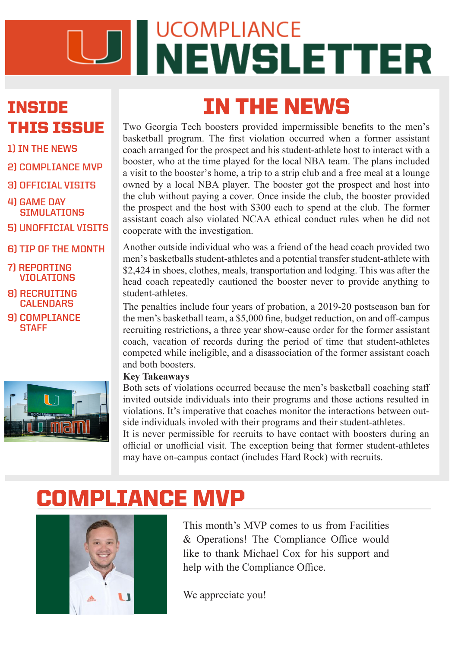# UD NEWSLETTER

### INSIDE THIS ISSUE

- **1) IN THE NEWS**
- **2) COMPLIANCE MVP**
- **3) OFFICIAL VISITS 4) GAME DAY**
- **SIMULATIONS**
- **5) UNOFFICIAL VISITS**
- **6) TIP OF THE MONTH**
- **7) REPORTING VIOLATIONS**
- **8) RECRUITING CALENDARS**
- **9) COMPLIANCE STAFF**



Two Georgia Tech boosters provided impermissible benefits to the men's basketball program. The first violation occurred when a former assistant coach arranged for the prospect and his student-athlete host to interact with a booster, who at the time played for the local NBA team. The plans included a visit to the booster's home, a trip to a strip club and a free meal at a lounge owned by a local NBA player. The booster got the prospect and host into the club without paying a cover. Once inside the club, the booster provided the prospect and the host with \$300 each to spend at the club. The former assistant coach also violated NCAA ethical conduct rules when he did not cooperate with the investigation.

IN THE NEWS

Another outside individual who was a friend of the head coach provided two men's basketballs student-athletes and a potential transfer student-athlete with \$2,424 in shoes, clothes, meals, transportation and lodging. This was after the head coach repeatedly cautioned the booster never to provide anything to student-athletes.

The penalties include four years of probation, a 2019-20 postseason ban for the men's basketball team, a \$5,000 fine, budget reduction, on and off-campus recruiting restrictions, a three year show-cause order for the former assistant coach, vacation of records during the period of time that student-athletes competed while ineligible, and a disassociation of the former assistant coach and both boosters.

#### **Key Takeaways**

Both sets of violations occurred because the men's basketball coaching staff invited outside individuals into their programs and those actions resulted in violations. It's imperative that coaches monitor the interactions between outside individuals involed with their programs and their student-athletes.

It is never permissible for recruits to have contact with boosters during an official or unofficial visit. The exception being that former student-athletes may have on-campus contact (includes Hard Rock) with recruits.

# COMPLIANCE MVP



This month's MVP comes to us from Facilities & Operations! The Compliance Office would like to thank Michael Cox for his support and help with the Compliance Office.

We appreciate you!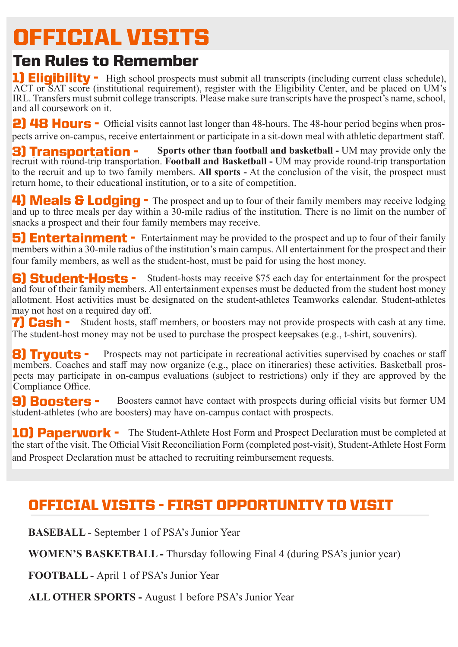## OFFICIAL VISITS

### Ten Rules to Remember

1) Eligibility - High school prospects must submit all transcripts (including current class schedule), ACT or SAT score (institutional requirement), register with the Eligibility Center, and be placed on UM's IRL. Transfers must submit college transcripts. Please make sure transcripts have the prospect's name, school, and all coursework on it.

2) 48 Hours - Official visits cannot last longer than 48-hours. The 48-hour period begins when prospects arrive on-campus, receive entertainment or participate in a sit-down meal with athletic department staff.

to the recruit and up to two family members. **All sports -** At the conclusion of the visit, the prospect must<br>return home to their educational institution, or to a site of connection **3) Transportation -** Sports other than football and basketball - UM may provide only the recruit with round-trip transportation. **Football and Basketball -** UM may provide round-trip transportation return home, to their educational institution, or to a site of competition.

4) Meals & Lodging - The prospect and up to four of their family members may receive lodging and up to three meals per day within a 30-mile radius of the institution. There is no limit on the number of snacks a prospect and their four family members may receive.

four family members, as well as the student-host, must be paid for using the host money. **5) Entertainment -** Entertainment may be provided to the prospect and up to four of their family members within a 30-mile radius of the institution's main campus. All entertainment for the prospect and their

6) Student-Hosts - Student-hosts may receive \$75 each day for entertainment for the prospect allotment. Host activities must be designated on the student-athletes Teamworks calendar. Student-athletes may not host on a required day off. and four of their family members. All entertainment expenses must be deducted from the student host money

 $\text{GSDI}$   $\text{Suadrin}$  hosts, start incinocity, or obosters may not provide prospects alibustic voloritum voloritum dae nis doloruntum dae nis dolorum volupis sunt lut mi, volupis sunt lut mi, vol **7) Cash -** Student hosts, staff members, or boosters may not provide prospects with cash at any time. The student-host money may not be used to purchase the prospect keepsakes (e.g., t-shirt, souvenirs).

**B) Tryouts** - Prospects may not participate in recreational activities supervised by coaches or staff members. Coaches and staff may now organize (e.g., place on itineraries) these activities. Basketball pros-Sampliance Office. The same explicit military military explicit military materials are endant as  $\mathbb{R}^n$ . 8) Tryouts pects may participate in on-campus evaluations (subject to restrictions) only if they are approved by the

9) Boosters - Boo Boosters cannot have contact with prospects during official visits but former UM student-athletes (who are boosters) may have on-campus contact with prospects.

10) Paperwork - The Student-Athlete Host Form and Prospect Declaration must be completed at the start of the visit. The Official Visit Reconciliation Form (completed post-visit), Student-Athlete Host Form and Prospect Declaration must be attached to recruiting reimbursement requests.

### OFFICIAL VISITS - FIRST OPPORTUNITY TO VISIT

**BASEBALL -** September 1 of PSA's Junior Year

**WOMEN'S BASKETBALL -** Thursday following Final 4 (during PSA's junior year)

**FOOTBALL -** April 1 of PSA's Junior Year

**ALL OTHER SPORTS -** August 1 before PSA's Junior Year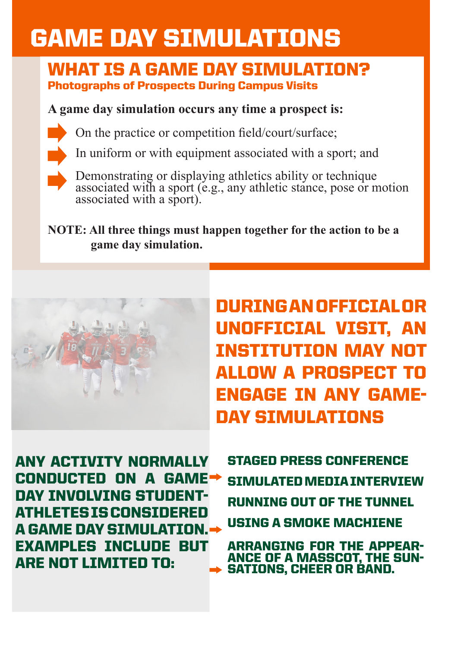# GAME DAY SIMULATIONS

### WHAT IS A GAME DAY SIMULATION? Photographs of Prospects During Campus Visits

### **A game day simulation occurs any time a prospect is:**



In uniform or with equipment associated with a sport; and



Demonstrating or displaying athletics ability or technique associated with a sport (e.g., any athletic stance, pose or motion associated with a sport).

**NOTE: All three things must happen together for the action to be a game day simulation.** 



DURING AN OFFICIAL OR UNOFFICIAL VISIT, AN INSTITUTION MAY NOT LLOW A PROSPECT ENGAGE IN ANY GAME-DAY SIMULATIONS

ANY ACTIVITY NORMALLY CONDUCTED ON A GAME DAY INVOLVING STUDENT-ATHLETES IS CONSIDERED A GAME DAY SIMULATION. EXAMPLES INCLUDE BUT ARE NOT LIMITED TO:

STAGED PRESS CONFERENCE SIMULATED MEDIA INTERVIEW RUNNING OUT OF THE TUNNEL USING A SMOKE MACHIENE

ARRANGING FOR THE APPEAR- ANCE OF A MASSCOT, THE SUN- SATIONS, CHEER OR BAND.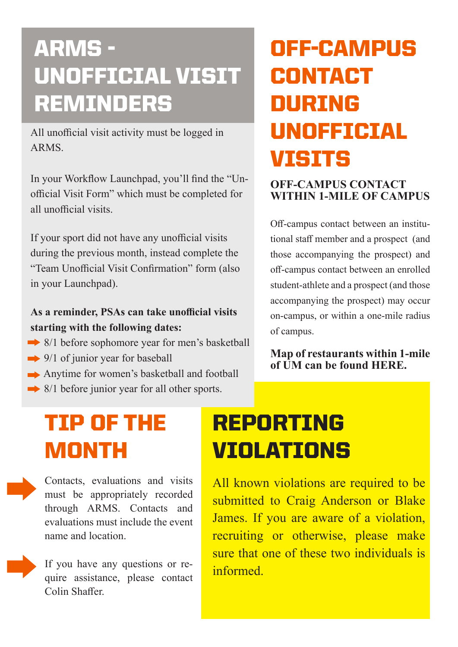# ARMS - UNOFFICIAL VISIT REMINDERS

All unofficial visit activity must be logged in ARMS.

In your Workflow Launchpad, you'll find the "Unofficial Visit Form" which must be completed for all unofficial visits.

If your sport did not have any unofficial visits during the previous month, instead complete the "Team Unofficial Visit Confirmation" form (also in your Launchpad).

### **As a reminder, PSAs can take unofficial visits starting with the following dates:**

- 8/1 before sophomore year for men's basketball
- $\rightarrow$  9/1 of junior year for baseball
- Anytime for women's basketball and football
- $\rightarrow$  8/1 before junior year for all other sports.

# OFF-CAMPUS **CONTACT** DURING UNOFFICIAL VISITS

#### **OFF-CAMPUS CONTACT WITHIN 1-MILE OF CAMPUS**

Off-campus contact between an institutional staff member and a prospect (and those accompanying the prospect) and off-campus contact between an enrolled student-athlete and a prospect (and those accompanying the prospect) may occur on-campus, or within a one-mile radius of campus.

**[Map of restaurants within 1-mile](https://www.google.com/maps/d/viewer?mid=1F6qTf1uMhL-yHQuuybStEWvhdJg&ll=25.75282685863023%2C-80.22947954999995&z=13)  of UM can be found HERE.** 

## TIP OF THE MONTH

Contacts, evaluations and visits must be appropriately recorded through ARMS. Contacts and evaluations must include the event name and location.

If you have any questions or require assistance, please contact Colin Shaffer.

# REPORTING **VIOLATIONS**

All known violations are required to be submitted to Craig Anderson or Blake James. If you are aware of a violation, recruiting or otherwise, please make sure that one of these two individuals is informed.